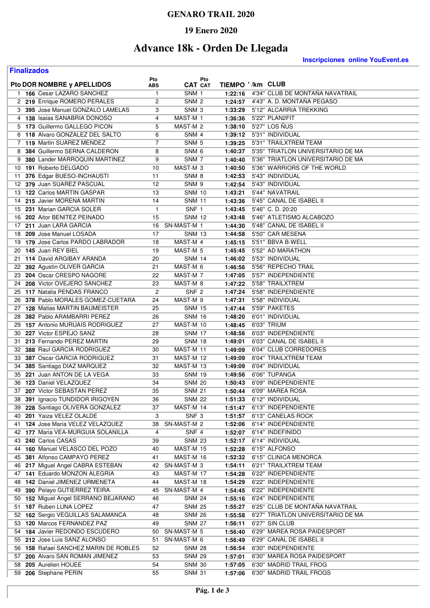### **GENARO TRAIL 2020**

#### **19 Enero 2020**

# **Advance 18k - Orden De Llegada**

**Finalizados**

**Inscripciones online YouEvent.es** 

| Pto DOR NOMBRE y APELLIDOS                                 | Pto            | Pto<br><b>CAT CAT</b> |         | TIEMPO '/km CLUB                    |
|------------------------------------------------------------|----------------|-----------------------|---------|-------------------------------------|
|                                                            | ABS            |                       |         | 4'34" CLUB DE MONTAÑA NAVATRAIL     |
| 1 166 Cesar LAZARO SANCHEZ<br>2 219 Enrique ROMERO PERALES | 1              | SNM 1                 | 1:22:16 |                                     |
|                                                            | 2              | SNM <sub>2</sub>      |         | 1:24:57  4'43" A. D. MONTAÑA PEGASO |
| 3 395 Jose Manuel GONZALO LAMELAS                          | 3              | SNM <sub>3</sub>      | 1:33:29 | 5'12" ALCARRIA TREKKING             |
| 4 138 Isaias SANABRIA DONOSO                               | 4              | MAST-M 1              | 1:36:36 | 5'22" PLAN2FIT                      |
| 5 173 Guillermo GALLEGO PICON                              | 5              | MAST-M 2              | 1:38:10 | 5'27" LOS NUS                       |
| 6 118 Alvaro GONZALEZ DEL SALTO                            | 6              | SNM 4                 | 1:39:12 | 5'31" INDIVIDUAL                    |
| 7 119 Martin SUAREZ MENDEZ                                 | 7              | SNM 5                 | 1:39:25 | 5'31" TRAILXTREM TEAM               |
| 8 384 Guillermo SERNA CALDERON                             | 8              | SNM <sub>6</sub>      | 1:40:37 | 5'35" TRIATLON UNIVERSITARIO DE MA  |
| 9 380 Lander MARROQUIN MARTINEZ                            | 9              | SNM <sub>7</sub>      | 1:40:40 | 5'36" TRIATLON UNIVERSITARIO DE MA  |
| 10 191 Roberto DELGADO                                     | 10             | MAST-M <sub>3</sub>   | 1:40:50 | 5'36" WARRIORS OF THE WORLD         |
| 376 Edgar BUESO-INCHAUSTI<br>11                            | 11             | SNM <sub>8</sub>      | 1:42:53 | 5'43" INDIVIDUAL                    |
| 12 379 Juan SUAREZ PASCUAL                                 | 12             | SNM 9                 | 1:42:54 | 5'43" INDIVIDUAL                    |
| 13 122 Carlos MARTIN GASPAR                                | 13             | <b>SNM 10</b>         | 1:43:21 | 5'44" NAVATRAIL                     |
| 215 Javier MORENA MARTIN<br>14                             | 14             | <b>SNM 11</b>         | 1:43:36 | 5'45" CANAL DE ISABEL II            |
| 231 Marian GARCIA SOLER<br>15                              | 1              | SNF 1                 | 1:43:45 | 5'46" C.D. 20:20                    |
| 202 Aitor BENITEZ PEINADO<br>16                            | 15             | <b>SNM 12</b>         | 1:43:48 | 5'46" ATLETISMO ALCABOZO            |
| 17 211 Juan LARA GARCIA                                    | 16             | SN-MAST-M 1           | 1:44:30 | 5'48" CANAL DE ISABEL II            |
| 209 Jose Manuel LOSADA<br>18                               | 17             | <b>SNM 13</b>         | 1:44:58 | 5'50" CAR MESENA                    |
| 179 Jose Carlos PARDO LABRADOR<br>19                       | 18             | MAST-M 4              | 1:45:15 | 5'51" BBVA B-WELL                   |
| 20 145 Juan REY BIEL                                       | 19             | MAST-M <sub>5</sub>   | 1:45:45 | 5'52" AD MARATHON                   |
| 114 David ARGIBAY ARANDA<br>21                             | 20             | SNM 14                | 1:46:02 | 5'53" INDIVIDUAL                    |
| 22 392 Agustin OLIVER GARCIA                               | 21             | MAST-M 6              | 1:46:56 | 5'56" REPECHO TRAIL                 |
| 23 204 Oscar CRESPO NAGORE                                 | 22             | MAST-M 7              | 1:47:05 | 5'57" INDEPENDIENTE                 |
| 24 208 Victor OVEJERO SANCHEZ                              | 23             | MAST-M 8              | 1:47:22 | 5'58" TRAILXTREM                    |
| 25 117 Natalia PENDAS FRANCO                               | $\overline{c}$ | SNF <sub>2</sub>      | 1:47:24 | 5'58" INDEPENDIENTE                 |
| 378 Pablo MORALES GOMEZ-CUETARA<br>26                      | 24             | MAST-M 9              | 1:47:31 | 5'58" INDIVIDUAL                    |
| 27 128 Matias MARTIN BAUMEISTER                            | 25             | <b>SNM 15</b>         | 1:47:44 | 5'59" PAKETES                       |
| 382 Pablo ARAMBARRI PEREZ<br>28                            | 26             | <b>SNM 16</b>         | 1:48:20 | 6'01" INDIVIDUAL                    |
| 29 157 Antonio MURUAIS RODRIGUEZ                           | 27             | MAST-M 10             | 1:48:45 | 6'03" TRIUM                         |
| 30 227 Victor ESPEJO SANZ                                  | 28             | <b>SNM 17</b>         | 1:48:56 | 6'03" INDEPENDIENTE                 |
| 31 213 Fernando PEREZ MARTIN                               | 29             | <b>SNM 18</b>         | 1:49:01 | 6'03" CANAL DE ISABEL II            |
| 32 388 Raul GARCIA RODRIGUEZ                               | 30             | MAST-M 11             | 1:49:09 | 6'04" CLUB CORREDORES               |
| 33 387 Oscar GARCIA RODRIGUEZ                              | 31             | MAST-M 12             | 1:49:09 | 6'04" TRAILXTREM TEAM               |
| 385 Santiago DIAZ MARQUEZ<br>34                            | 32             | MAST-M 13             | 1:49:09 | 6'04" INDIVIDUAL                    |
| 221 Juan ANTON DE LA VEGA<br>35                            | 33             |                       |         | 6'06" TUPANGA                       |
| 123 Daniel VELAZQUEZ                                       |                | <b>SNM 19</b>         | 1:49:56 | 6'09" INDEPENDIENTE                 |
| 36                                                         | 34             | <b>SNM 20</b>         | 1:50:43 |                                     |
| 37 207 Victor SEBASTAN PEREZ                               | 35             | <b>SNM 21</b>         | 1:50:44 | 6'09" MAREA ROSA                    |
| 38<br>391 Ignacio TUNDIDOR IRIGOYEN                        | 36             | <b>SNM 22</b>         | 1:51:33 | 6'12" INDIVIDUAL                    |
| 39 228 Santiago OLIVERA GONZALEZ                           | 37             | MAST-M 14             |         | 1:51:47 6'13" INDEPENDIENTE         |
| 40 201 Yaiza VELEZ OLALDE                                  | 3              | SNF <sub>3</sub>      |         | 1:51:57 6'13" CANELAS ROCK          |
| 41 124 Jose Maria VELEZ VELAZQUEZ                          | 38             | SN-MAST-M 2           | 1:52:06 | 6'14" INDEPENDIENTE                 |
| 42 177 Maria VEA-MURGUIA SOLANILLA                         | 4              | SNF 4                 | 1:52:07 | 6'14" INDEFINIDO                    |
| 43 240 Carlos CASAS                                        | 39             | <b>SNM 23</b>         | 1:52:17 | 6'14" INDIVIDUAL                    |
| 44 160 Manuel VELASCO DEL POZO                             | 40             | MAST-M 15             | 1:52:28 | 6'15" ALFONSO                       |
| 45 381 Alfonso CAMPAYO PEREZ                               | 41             | MAST-M 16             | 1:52:32 | 6'15" CLINICA MENORCA               |
| 46 217 Miguel Angel CABRA ESTEBAN                          | 42             | SN-MAST-M 3           | 1:54:11 | 6'21" TRAILXTREM TEAM               |
| 47 141 Eduardo MONZON ALEGRIA                              | 43             | MAST-M 17             | 1:54:28 | 6'22" INDEPENDIENTE                 |
| 48 142 Daniel JIMENEZ URMENETA                             | 44             | MAST-M 18             | 1:54:29 | 6'22" INDEPENDIENTE                 |
| 49 390 Pelayo GUTIERREZ TEIRA                              | 45             | SN-MAST-M 4           | 1:54:45 | 6'22" INDEPENDIENTE                 |
| 50 152 Miguel Angel SERRANO BEJARANO                       | 46             | SNM 24                | 1:55:16 | 6'24" INDEPENDIENTE                 |
| 51 187 Ruben LUNA LOPEZ                                    | 47             | <b>SNM 25</b>         | 1:55:27 | 6'25" CLUB DE MONTAÑA NAVATRAIL     |
| 52 162 Sergio VEGUILLAS SALAMANCA                          | 48             | <b>SNM 26</b>         | 1:55:58 | 6'27" TRIATLON UNIVERSITARIO DE MA  |
| 53 120 Marcos FERNANDEZ PAZ                                | 49             | <b>SNM 27</b>         | 1:56:11 | 6'27" SIN CLUB                      |
| 54 184 Javier REDONDO ESCUDERO                             |                | 50 SN-MAST-M 5        | 1:56:40 | 6'29" MAREA ROSA PAIDESPORT         |
| 55 212 Jose Luis SANZ ALONSO                               | 51             | SN-MAST-M 6           | 1:56:49 | 6'29" CANAL DE ISABEL II            |
| 56 158 Rafael SANCHEZ MARIN DE ROBLES                      | 52             | <b>SNM 28</b>         | 1:56:54 | 6'30" INDEPENDIENTE                 |
| 57 200 Alvaro SAN ROMAN JIMENEZ                            | 53             | <b>SNM 29</b>         | 1:57:01 | 6'30" MAREA ROSA PAIDESPORT         |
| 58 205 Aurelien HOUEE                                      | 54             | <b>SNM 30</b>         | 1:57:05 | 6'30" MADRID TRAIL FROG             |
| 59 206 Stephane PERIN                                      | 55             | <b>SNM 31</b>         | 1:57:06 | 6'30" MADRID TRAIL FROGS            |
|                                                            |                |                       |         |                                     |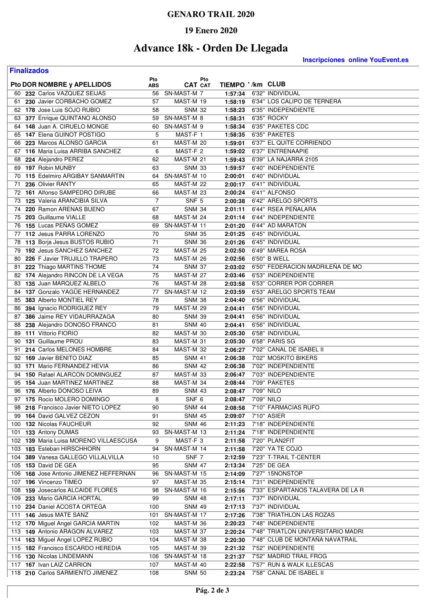### **GENARO TRAIL 2020**

## **19 Enero 2020**

# **Advance 18k - Orden De Llegada**

**Finalizados**

**Inscripciones online YouEvent.es** 

|          | Pto DOR NOMBRE y APELLIDOS                                | Pto            | Pto<br><b>CAT CAT</b>      | TIEMPO '/km CLUB    |                                                 |
|----------|-----------------------------------------------------------|----------------|----------------------------|---------------------|-------------------------------------------------|
|          |                                                           | ABS            |                            |                     |                                                 |
| 61       | 60 232 Carlos VAZQUEZ SEIJAS<br>230 Javier CORBACHO GOMEZ | 56<br>57       | SN-MAST-M 7<br>MAST-M 19   | 1:57:34<br>1:58:19  | 6'32" INDIVIDUAL<br>6'34" LOS CALIPO DE TERNERA |
|          | 62 178 Jose Luis SOJO RUBIO                               |                | <b>SNM 32</b>              |                     | 6'35" INDEPENDIENTE                             |
| 63       | 377 Enrique QUINTANO ALONSO                               | 58<br>59       | SN-MAST-M 8                | 1:58:23             | 6'35" ROCKY                                     |
|          | 64 148 Juan A. CIRUELO MONGE                              | 60             | SN-MAST-M 9                | 1:58:31<br>1:58:34  | 6'35" PAKETES CDC                               |
|          | 65 147 Elena GUINOT POSTIGO                               | 5              | MAST-F 1                   |                     | 6'35" PAKETES                                   |
|          |                                                           |                |                            | 1:58:35             |                                                 |
|          | 66 223 Marcos ALONSO GARCIA                               | 61             | MAST-M 20                  | 1:59:01             | 6'37" EL QUITE CORRIENDO                        |
|          | 67 116 Maria Luisa ARRIBA SANCHEZ                         | 6              | MAST-F 2                   | 1:59:02             | 6'37" ENTRENAAPIE                               |
| 68<br>69 | 224 Alejandro PEREZ<br>197 Robin MUNBY                    | 62<br>63       | MAST-M 21<br><b>SNM 33</b> | 1:59:43             | 6'39" LA NAJARRA 2105<br>6'40" INDEPENDIENTE    |
|          | 115 Edelmiro ARGIBAY SANMARTIN                            |                | SN-MAST-M 10               | 1:59:57             | 6'40" INDIVIDUAL                                |
| 70<br>71 | 236 Olivier RANTY                                         | 64<br>65       | MAST-M 22                  | 2:00:01<br>2:00:17  | 6'41" INDIVIDUAL                                |
| 72       | 161 Alfonso SAMPEDRO DIRUBE                               | 66             | MAST-M 23                  | 2:00:24             | 6'41" ALFONSO                                   |
| 73       | <b>125 Valeria ARANCIBIA SILVA</b>                        | $\overline{7}$ | SNF <sub>5</sub>           | 2:00:38             | 6'42" ARELGO SPORTS                             |
| 74       | 220 Ramon ARENAS BUENO                                    | 67             | <b>SNM 34</b>              | 2:01:11             | 6'44" RSEA PEÑALARA                             |
| 75       | 203 Guillaume VIALLE                                      | 68             | MAST-M 24                  | 2:01:14             | 6'44" INDEPENDIENTE                             |
| 76       | 155 Lucas PEÑAS GOMEZ                                     | 69             | SN-MAST-M 11               | 2:01:20             | 6'44" AD MARATON                                |
|          | 77 112 Jesus PARRA LORENZO                                | 70             | <b>SNM 35</b>              | 2:01:25             | 6'45" INDIVIDUAL                                |
|          | 113 Boria Jesus BUSTOS RUBIO                              | 71             |                            |                     | 6'45" INDIVIDUAL                                |
| 78       | 192 Jesus SANCHEZ SANCHEZ                                 | 72             | <b>SNM 36</b><br>MAST-M 25 | 2:01:26             | 6'49" MAREA ROSA                                |
| 79<br>80 | 226 F Javier TRUJILLO TRAPERO                             | 73             | MAST-M 26                  | 2:02:50             | 6'50" B WELL                                    |
|          | 222 Thiago MARTINS THOME                                  | 74             |                            | 2:02:56             | 6'50" FEDERACION MADRILEÑA DE MO                |
| 81       |                                                           |                | <b>SNM 37</b><br>MAST-M 27 | 2:03:02             |                                                 |
|          | 82 174 Alejandro RINCON DE LA VEGA                        | 75<br>76       |                            | 2:03:46             | 6'53" INDEPENDIENTE                             |
| 83       | 135 Juan MARQUEZ ALBELO                                   |                | MAST-M 28                  | 2:03:58             | 6'53" CORRER POR CORRER                         |
|          | 84 137 Gonzalo YAGUE HERNANDEZ                            | 77             | SN-MAST-M 12               | 2:03:59             | 6'53" ARELGO SPORTS TEAM                        |
| 85       | 383 Alberto MONTIEL REY                                   | 78             | <b>SNM 38</b>              | 2:04:40             | 6'56" INDIVIDUAL                                |
| 86       | 394 Ignacio RODRIGUEZ REY<br>386 Jaime REY VIDAURRAZAGA   | 79<br>80       | MAST-M 29<br><b>SNM 39</b> | 2:04:41             | 6'56" INDIVIDUAL<br>6'56" INDIVIDUAL            |
| 87<br>88 | 238 Alejandro DONOSO FRANCO                               | 81             | <b>SNM 40</b>              | 2:04:41<br>2:04:41  | 6'56" INDIVIDUAL                                |
| 89       | 111 Vittorio FIORIO                                       | 82             | MAST-M 30                  | 2:05:30             | 6'58" INDIVIDUAL                                |
| 90       | 131 Guillaume PROU                                        | 83             | MAST-M 31                  | 2:05:30             | 6'58" PARIS SG                                  |
| 91       | 214 Carlos MELONES HOMBRE                                 | 84             | MAST-M 32                  | 2:06:27             | 7'02" CANAL DE ISABEL II                        |
|          | 92 169 Javier BENITO DIAZ                                 | 85             | SNM 41                     | 2:06:38             | 7'02" MOSKITO BIKERS                            |
| 93       | 171 Mario FERNANDEZ HEVIA                                 | 86             | <b>SNM 42</b>              | 2:06:38             | 7'02" INDEPENDIENTE                             |
| 94       | <b>150 Rafael ALARCON DOMINGUEZ</b>                       | 87             | MAST-M 33                  | 2:06:47             | 7'03" INDEPENDIENTE                             |
| 95       | 154 Juan MARTINEZ MARTINEZ                                | 88             | MAST-M 34                  | 2:08:44             | 7'09" PAKETES                                   |
|          | 96 176 Alberto DONOSO LEIVA                               | 89             | <b>SNM 43</b>              | 2:08:47             | 7'09" NILO                                      |
|          | 97 175 Rocio MOLERO DOMINGO                               | 8              | SNF 6                      | 2:08:47             | 7'09" NILO                                      |
|          | 98 218 Francisco Javier NIETO LOPEZ                       | 90             | <b>SNM 44</b>              |                     | 2:08:58 7'10" FARMACIAS RUFO                    |
|          | 99 164 David GALVEZ CEZON                                 | 91             | <b>SNM 45</b>              | 2:09:07 7'10" ASIER |                                                 |
|          | 100 132 Nicolas FAUCHEUR                                  | 92             | <b>SNM 46</b>              | 2:11:23             | 7'18" INDEPENDIENTE                             |
|          | 101 133 Antony DUMAS                                      |                | 93 SN-MAST-M 13            | 2:11:24             | 7'18" INDEPENDIENTE                             |
|          | 102 139 Maria Luisa MORENO VILLAESCUSA                    | 9              | MAST-F <sub>3</sub>        | 2:11:58             | 7'20" PLAN2FIT                                  |
|          | 103 183 Esteban HIRSCHHORN                                | 94             | SN-MAST-M 14               | 2:11:58             | 7'20" YA TE COJO                                |
|          | 104 389 Vanesa GALLEGO VILLALVILLA                        | 10             | SNF 7                      | 2:12:59             | 7'23" T-TRAIL T-CENTER                          |
|          | 105 153 David DE GEA                                      | 95             | <b>SNM 47</b>              | 2:13:34             | 7'25" DE GEA                                    |
|          | 106 168 Jose Antonio JIMENEZ HEFFERNAN                    |                | 96 SN-MAST-M 15            | 2:14:09             | 7'27" 15NONSTOP                                 |
|          | 107 196 Vincenzo TIMEO                                    | 97             | MAST-M 35                  | 2:15:14             | 7'31" INDEPENDIENTE                             |
|          | 108 159 Josecarlos ALCAIDE FLORES                         | 98             | SN-MAST-M 16               | 2:15:56             | 7'33" ESPARTANOS TALAVERA DE LA R               |
|          | 109 233 Mario GARCIA HORTAL                               | 99             | <b>SNM 48</b>              | 2:17:11             | 7'37" INDIVIDUAL                                |
|          | 110 234 Daniel ACOSTA ORTEGA                              | 100            | <b>SNM 49</b>              | 2:17:13             | 7'37" INDIVIDUAL                                |
|          | 111 146 Jesus MATE SANZ                                   |                | 101 SN-MAST-M 17           | 2:17:26             | 7'38" TRIATHLON LAS ROZAS                       |
|          | 112 170 Miguel Angel GARCIA MARTIN                        | 102            | MAST-M 36                  | 2:20:23             | 7'48" INDEPENDIENTE                             |
|          | 113 149 Antonio ARAGON ALVAREZ                            | 103            | MAST-M 37                  | 2:20:24             | 7'48" TRIATLON UNIVERSITARIO MADRI              |
|          | 114 163 Miguel Angel LOPEZ RUBIO                          | 104            | MAST-M 38                  | 2:20:30             | 7'48" CLUB DE MONTAÑA NAVATRAIL                 |
|          | 115 182 Francisco ESCARDO HEREDIA                         | 105            | MAST-M 39                  | 2:21:32             | 7'52" INDEPENDIENTE                             |
|          | 116 130 Nicolas LINDEMANN                                 |                | 106 SN-MAST-M 18           | 2:21:37             | 7'52" MADRID TRAIL FROG                         |
|          | 117 167 Ivan LAIZ CARRION                                 | 107            | MAST-M 40                  | 2:22:58             | 7'57" RUN & WALK ILLESCAS                       |
|          | 118 210 Carlos SARMIENTO JIMENEZ                          | 108            | <b>SNM 50</b>              | 2:23:24             | 7'58" CANAL DE ISABEL II                        |
|          |                                                           |                |                            |                     |                                                 |